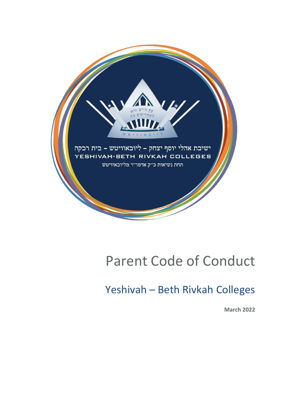

# Parent Code of Conduct

## Yeshivah – Beth Rivkah Colleges

**March 2022**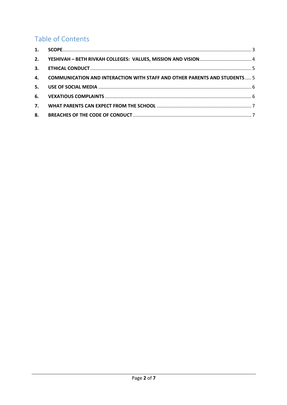### Table of Contents

| 2. |                                                                                  |  |
|----|----------------------------------------------------------------------------------|--|
|    |                                                                                  |  |
| 4. | <b>COMMUNICATION AND INTERACTION WITH STAFF AND OTHER PARENTS AND STUDENTS 5</b> |  |
| 5. |                                                                                  |  |
|    |                                                                                  |  |
| 7. |                                                                                  |  |
|    |                                                                                  |  |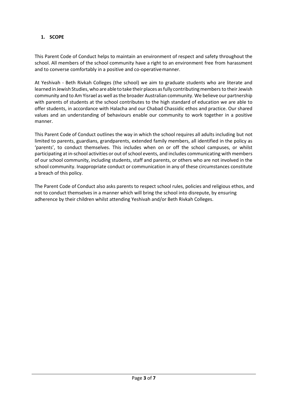#### <span id="page-2-0"></span>**1. SCOPE**

This Parent Code of Conduct helps to maintain an environment of respect and safety throughout the school. All members of the school community have a right to an environment free from harassment and to converse comfortably in a positive and co-operativemanner.

At Yeshivah - Beth Rivkah Colleges (the school) we aim to graduate students who are literate and learned in Jewish Studies, who are able to take their places as fully contributing members to their Jewish community and to Am Yisrael as well as the broader Australian community. We believe our partnership with parents of students at the school contributes to the high standard of education we are able to offer students, in accordance with Halacha and our Chabad Chassidic ethos and practice. Our shared values and an understanding of behaviours enable our community to work together in a positive manner.

This Parent Code of Conduct outlines the way in which the school requires all adults including but not limited to parents, guardians, grandparents, extended family members, all identified in the policy as 'parents', to conduct themselves. This includes when on or off the school campuses, or whilst participating at in-school activities or out of school events, and includes communicating with members of our school community, including students, staff and parents, or others who are not involved in the school community. Inappropriate conduct or communication in any of these circumstances constitute a breach of this policy.

The Parent Code of Conduct also asks parents to respect school rules, policies and religious ethos, and not to conduct themselves in a manner which will bring the school into disrepute, by ensuring adherence by their children whilst attending Yeshivah and/or Beth Rivkah Colleges.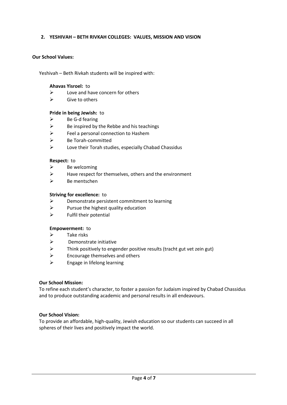#### <span id="page-3-0"></span>**2. YESHIVAH – BETH RIVKAH COLLEGES: VALUES, MISSION AND VISION**

#### **Our School Values:**

Yeshivah – Beth Rivkah students will be inspired with:

#### **Ahavas Yisroel:** to

- $\triangleright$  Love and have concern for others
- $\triangleright$  Give to others

#### **Pride in being Jewish:** to

- $\triangleright$  Be G-d fearing
- $\triangleright$  Be inspired by the Rebbe and his teachings
- ➢ Feel a personal connection to Hashem
- ➢ Be Torah-committed
- $\triangleright$  Love their Torah studies, especially Chabad Chassidus

#### **Respect:** to

- $\triangleright$  Be welcoming
- $\triangleright$  Have respect for themselves, others and the environment
- ➢ Be mentschen

#### **Striving for excellence:** to

- ➢ Demonstrate persistent commitment to learning
- $\triangleright$  Pursue the highest quality education
- $\triangleright$  Fulfil their potential

#### **Empowerment:** to

- $\triangleright$  Take risks
- ➢ Demonstrate initiative
- $\triangleright$  Think positively to engender positive results (tracht gut vet zein gut)
- $\triangleright$  Encourage themselves and others
- $\triangleright$  Engage in lifelong learning

#### **Our School Mission:**

To refine each student's character, to foster a passion for Judaism inspired by Chabad Chassidus and to produce outstanding academic and personal results in all endeavours.

#### **Our School Vision:**

To provide an affordable, high-quality, Jewish education so our students can succeed in all spheres of their lives and positively impact the world.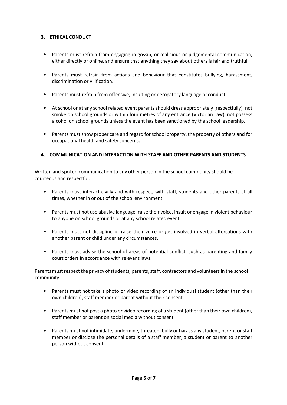#### <span id="page-4-0"></span>**3. ETHICAL CONDUCT**

- Parents must refrain from engaging in gossip, or malicious or judgemental communication, either directly or online, and ensure that anything they say about others is fair and truthful.
- Parents must refrain from actions and behaviour that constitutes bullying, harassment, discrimination or vilification.
- Parents must refrain from offensive, insulting or derogatory language or conduct.
- At school or at any school related event parents should dress appropriately (respectfully), not smoke on school grounds or within four metres of any entrance (Victorian Law), not possess alcohol on school grounds unless the event has been sanctioned by the school leadership.
- Parents must show proper care and regard for school property, the property of others and for occupational health and safety concerns.

#### <span id="page-4-1"></span>**4. COMMUNICATION AND INTERACTION WITH STAFF AND OTHER PARENTS AND STUDENTS**

Written and spoken communication to any other person in the school community should be courteous and respectful.

- Parents must interact civilly and with respect, with staff, students and other parents at all times, whether in or out of the school environment.
- Parents must not use abusive language, raise their voice, insult or engage in violent behaviour to anyone on school grounds or at any school related event.
- Parents must not discipline or raise their voice or get involved in verbal altercations with another parent or child under any circumstances.
- Parents must advise the school of areas of potential conflict, such as parenting and family court orders in accordance with relevant laws.

Parents must respect the privacy of students, parents, staff, contractors and volunteers in the school community.

- Parents must not take a photo or video recording of an individual student (other than their own children), staff member or parent without their consent.
- Parents must not post a photo or video recording of a student (other than their own children), staff member or parent on social media without consent.
- Parents must not intimidate, undermine, threaten, bully or harass any student, parent or staff member or disclose the personal details of a staff member, a student or parent to another person without consent.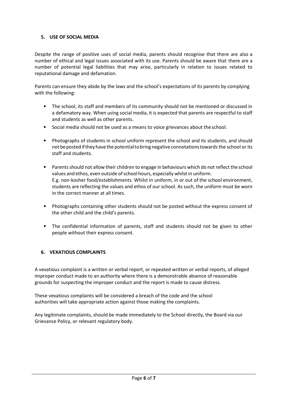#### <span id="page-5-0"></span>**5. USE OF SOCIAL MEDIA**

Despite the range of positive uses of social media, parents should recognise that there are also a number of ethical and legal issues associated with its use. Parents should be aware that there are a number of potential legal liabilities that may arise, particularly in relation to issues related to reputational damage and defamation.

Parents can ensure they abide by the laws and the school's expectations of its parents by complying with the following:

- The school, its staff and members of its community should not be mentioned or discussed in a defamatory way. When using social media, it is expected that parents are respectful to staff and students as well as other parents.
- Social media should not be used as a means to voice grievances about theschool.
- Photographs of students in school uniform represent the school and its students, and should not be posted if they have the potential to bring negative connotations towards the school or its staff and students.
- Parents should not allow their children to engage in behaviours which do not reflect the school values and ethos, even outside of school hours, especially whilst in uniform. E.g. non-kosher food/establishments. Whilst in uniform, in or out of the school environment, students are reflecting the values and ethos of our school. As such, the uniform must be worn in the correct manner at all times.
- Photographs containing other students should not be posted without the express consent of the other child and the child's parents.
- The confidential information of parents, staff and students should not be given to other people without their express consent.

#### <span id="page-5-1"></span>**6. VEXATIOUS COMPLAINTS**

A vexatious complaint is a written or verbal report, or repeated written or verbal reports, of alleged improper conduct made to an authority where there is a demonstrable absence of reasonable grounds for suspecting the improper conduct and the report is made to cause distress.

These vexatious complaints will be considered a breach of the code and the school authorities will take appropriate action against those making the complaints.

Any legitimate complaints, should be made immediately to the School directly, the Board via our Grievance Policy, or relevant regulatory body.